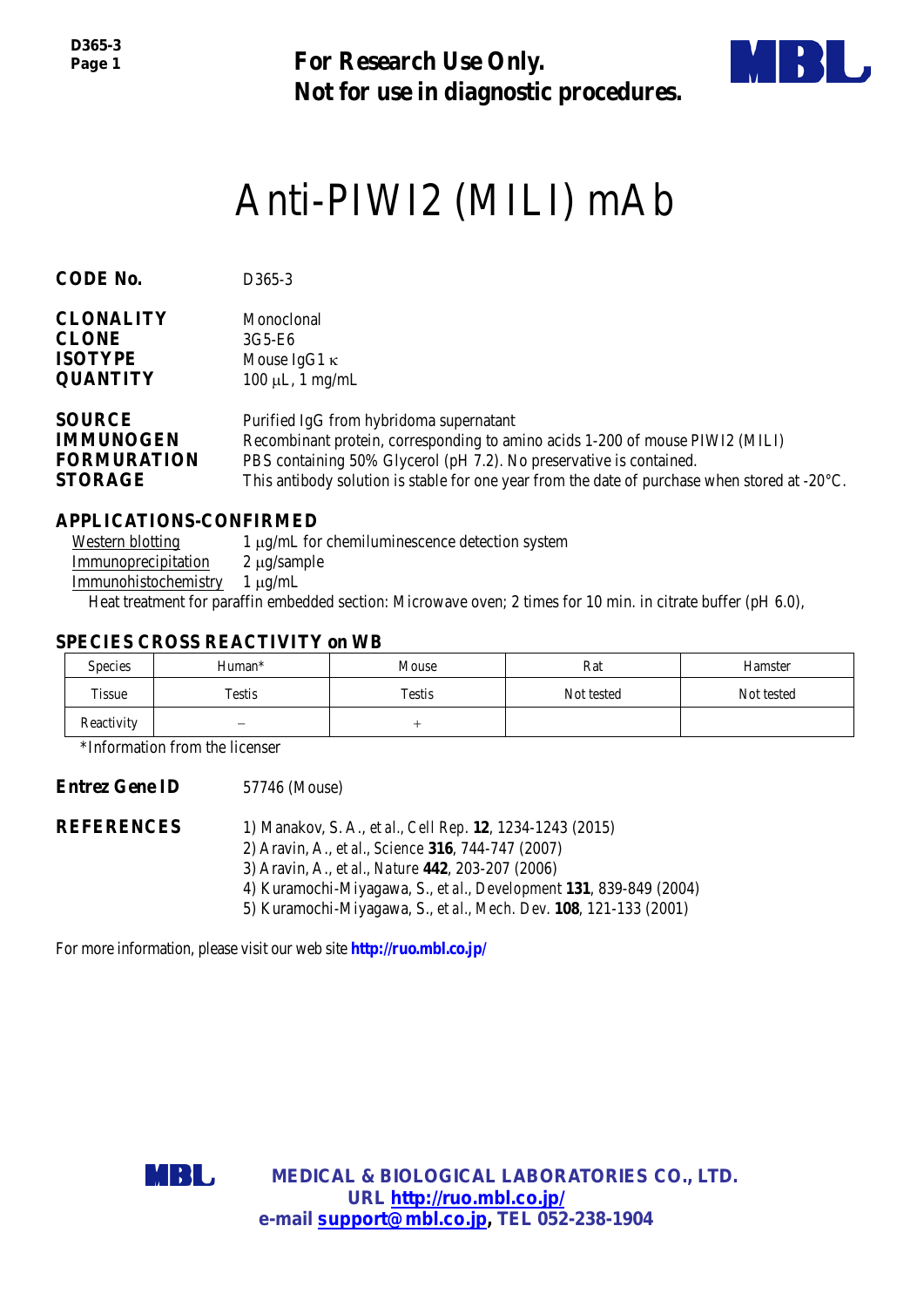**For Research Use Only. Not for use in diagnostic procedures.**



# Anti-PIWI2 (MILI) mAb

| <b>CODE No.</b>    | D <sub>365</sub> -3                                                                                     |  |  |
|--------------------|---------------------------------------------------------------------------------------------------------|--|--|
| <b>CLONALITY</b>   | Monoclonal                                                                                              |  |  |
| <b>CLONE</b>       | 3G5-E6                                                                                                  |  |  |
| <b>ISOTYPE</b>     | Mouse IgG1 $\kappa$                                                                                     |  |  |
| <b>QUANTITY</b>    | $100 \mu L$ , 1 mg/mL                                                                                   |  |  |
| <b>SOURCE</b>      | Purified IgG from hybridoma supernatant                                                                 |  |  |
| <b>IMMUNOGEN</b>   | Recombinant protein, corresponding to amino acids 1-200 of mouse PIWI2 (MILI)                           |  |  |
| <b>FORMURATION</b> | PBS containing 50% Glycerol (pH 7.2). No preservative is contained.                                     |  |  |
| <b>STORAGE</b>     | This antibody solution is stable for one year from the date of purchase when stored at $-20^{\circ}$ C. |  |  |

### **APPLICATIONS-CONFIRMED**

Western blotting  $1 \mu g/mL$  for chemiluminescence detection system Immunoprecipitation 2 µg/sample Immunohistochemistry 1 µg/mL

Heat treatment for paraffin embedded section: Microwave oven; 2 times for 10 min. in citrate buffer (pH 6.0),

#### **SPECIES CROSS REACTIVITY on WB**

| <b>Species</b> | Human*                   | Mouse  | Rat        | Hamster    |
|----------------|--------------------------|--------|------------|------------|
| Tissue         | Testis                   | Testis | Not tested | Not tested |
| Reactivity     | $\overline{\phantom{0}}$ |        |            |            |

\*Information from the licenser

**Entrez Gene ID** 57746 (Mouse)

**REFERENCES** 1) Manakov, S. A., *et al., Cell Rep*. **12**, 1234-1243 (2015) 2) Aravin, A., *et al., Science* **316**, 744-747 (2007) 3) Aravin, A., *et al., Nature* **442**, 203-207 (2006) 4) Kuramochi-Miyagawa, S., *et al., Development* **131**, 839-849 (2004) 5) Kuramochi-Miyagawa, S., *et al., Mech. Dev*. **108**, 121-133 (2001)

For more information, please visit our web site **http://ruo.mbl.co.jp/**



**MEDICAL & BIOLOGICAL LABORATORIES CO., LTD. URL [http://ruo.mbl.co.jp/](https://ruo.mbl.co.jp/je/rip-assay/) e-mail [support@mbl.co.jp,](mailto:support@mbl.co.jp) TEL 052-238-1904**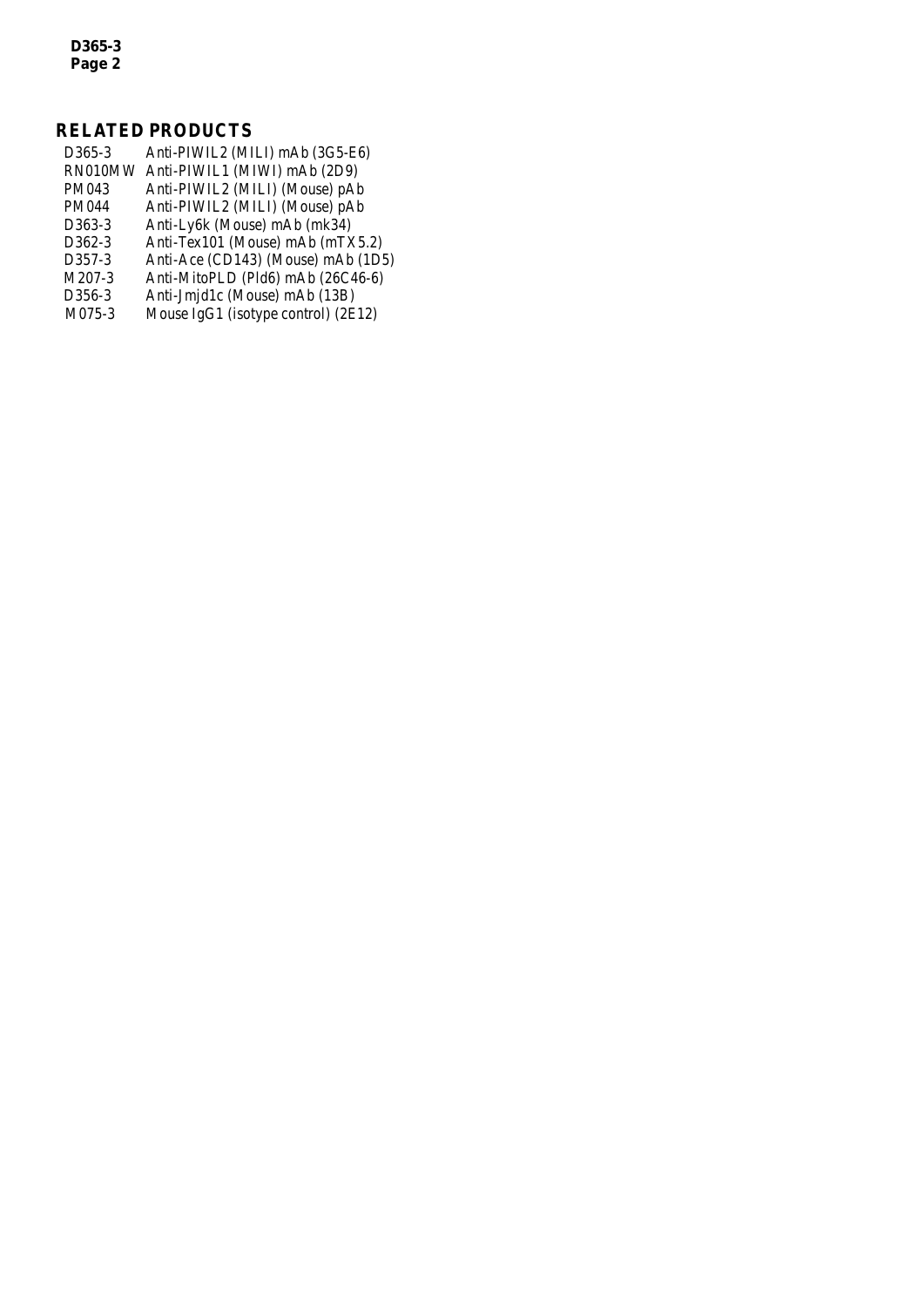*D365-3 Page 2*

## **RELATED PRODUCTS**

| D <sub>365</sub> -3 | Anti-PIWIL2 (MILI) mAb (3G5-E6)     |
|---------------------|-------------------------------------|
| RN010MW             | Anti-PIWIL1 (MIWI) mAb (2D9)        |
| PM043               | Anti-PIWIL2 (MILI) (Mouse) pAb      |
| PM044               | Anti-PIWIL2 (MILI) (Mouse) pAb      |
| D363-3              | Anti-Ly6k (Mouse) mAb (mk34)        |
| D362-3              | Anti-Tex101 (Mouse) mAb (mTX5.2)    |
| D357-3              | Anti-Ace (CD143) (Mouse) mAb (1D5)  |
| M207-3              | Anti-MitoPLD (Pld6) mAb (26C46-6)   |
| D356-3              | Anti-Jmjd1c (Mouse) mAb (13B)       |
| M075-3              | Mouse IgG1 (isotype control) (2E12) |
|                     |                                     |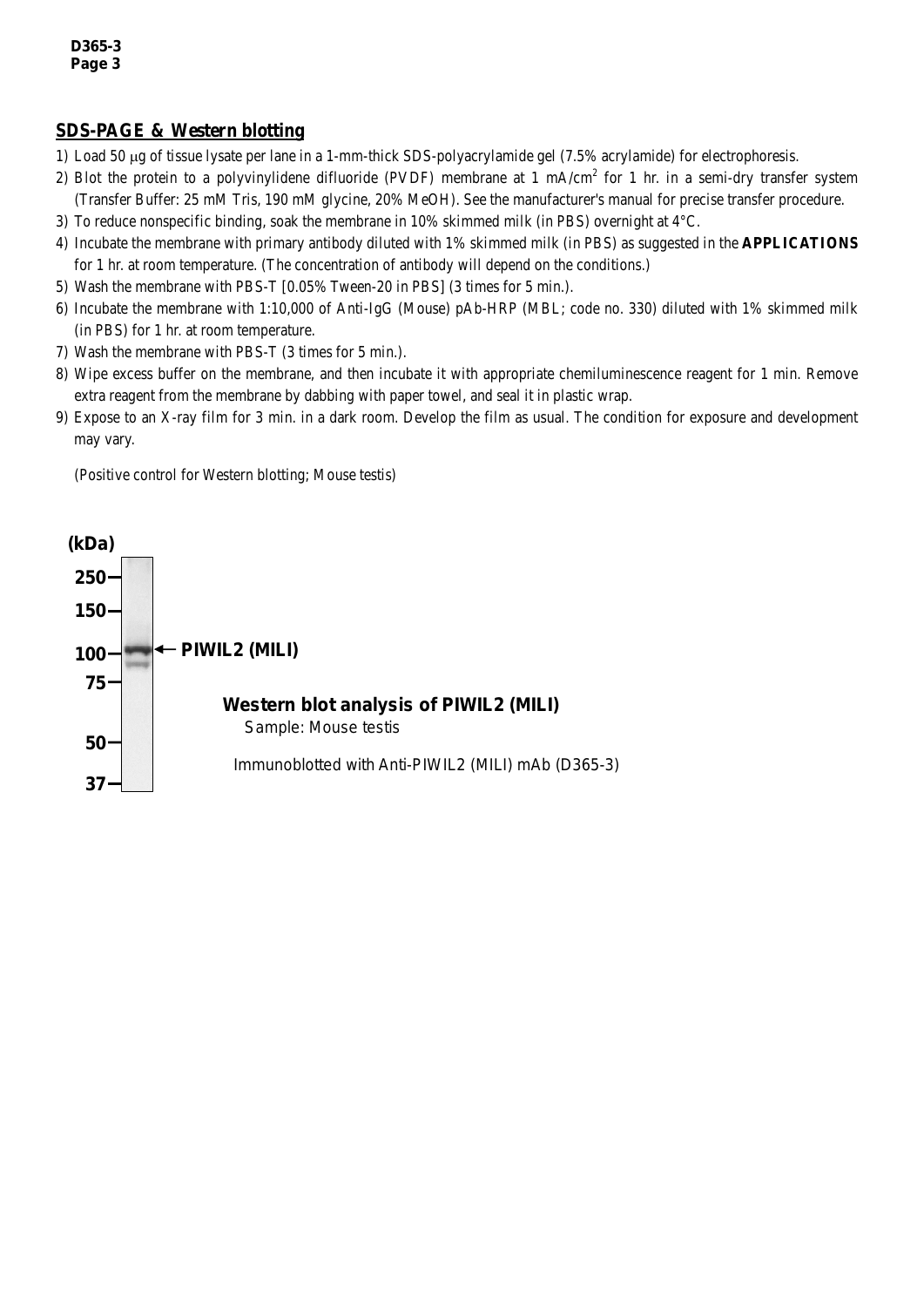#### **SDS-PAGE & Western blotting**

- 1) Load 50 µg of tissue lysate per lane in a 1-mm-thick SDS-polyacrylamide gel (7.5% acrylamide) for electrophoresis.
- 2) Blot the protein to a polyvinylidene difluoride (PVDF) membrane at 1 mA/cm<sup>2</sup> for 1 hr. in a semi-dry transfer system (Transfer Buffer: 25 mM Tris, 190 mM glycine, 20% MeOH). See the manufacturer's manual for precise transfer procedure.
- 3) To reduce nonspecific binding, soak the membrane in 10% skimmed milk (in PBS) overnight at 4°C.
- 4) Incubate the membrane with primary antibody diluted with 1% skimmed milk (in PBS) as suggested in the **APPLICATIONS** for 1 hr. at room temperature. (The concentration of antibody will depend on the conditions.)
- 5) Wash the membrane with PBS-T [0.05% Tween-20 in PBS] (3 times for 5 min.).
- 6) Incubate the membrane with 1:10,000 of Anti-IgG (Mouse) pAb-HRP (MBL; code no. 330) diluted with 1% skimmed milk (in PBS) for 1 hr. at room temperature.
- 7) Wash the membrane with PBS-T (3 times for 5 min.).
- 8) Wipe excess buffer on the membrane, and then incubate it with appropriate chemiluminescence reagent for 1 min. Remove extra reagent from the membrane by dabbing with paper towel, and seal it in plastic wrap.
- 9) Expose to an X-ray film for 3 min. in a dark room. Develop the film as usual. The condition for exposure and development may vary.

(Positive control for Western blotting; Mouse testis)

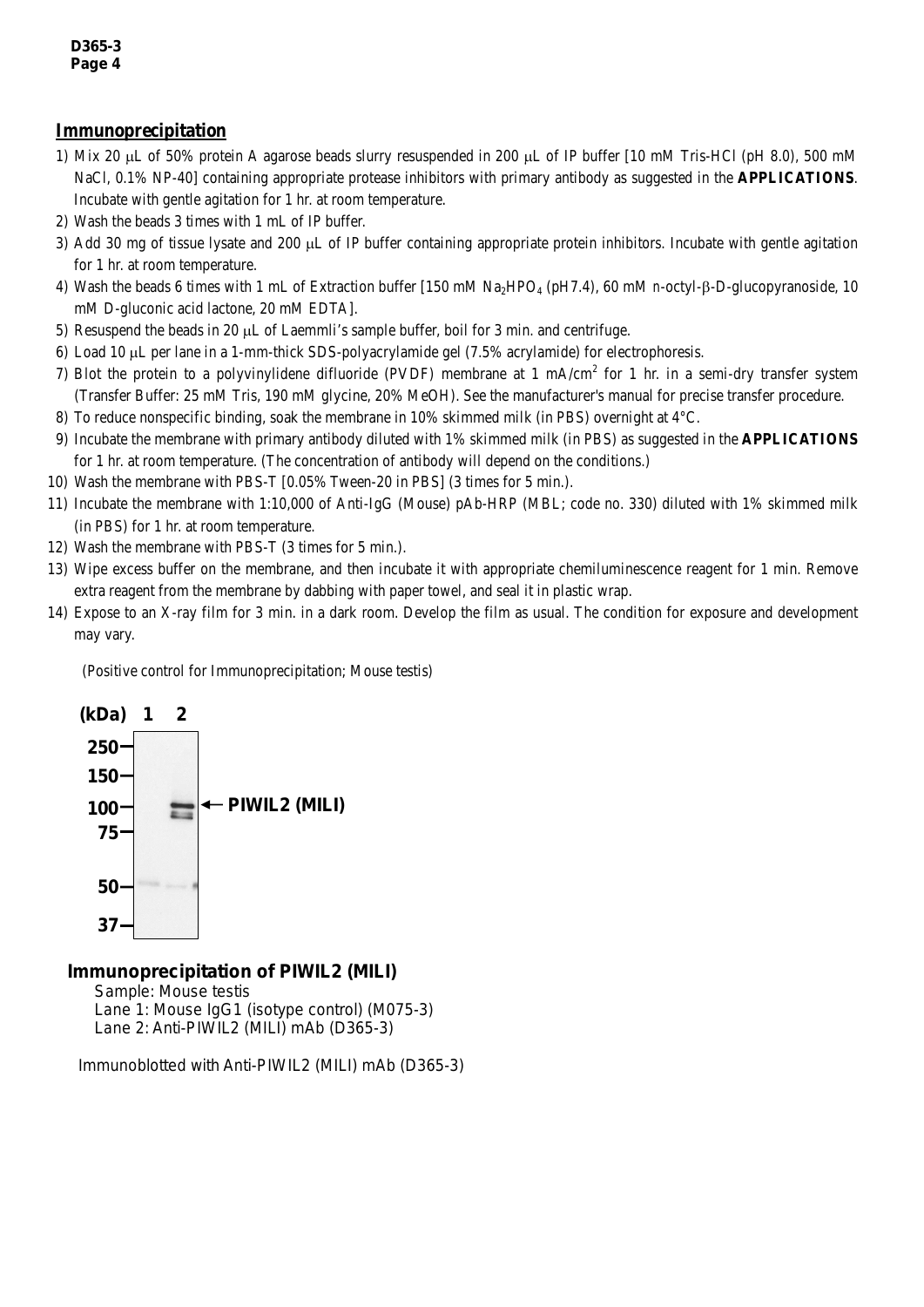#### **Immunoprecipitation**

- 1) Mix 20 µL of 50% protein A agarose beads slurry resuspended in 200 µL of IP buffer [10 mM Tris-HCl (pH 8.0), 500 mM NaCl, 0.1% NP-40] containing appropriate protease inhibitors with primary antibody as suggested in the **APPLICATIONS**. Incubate with gentle agitation for 1 hr. at room temperature.
- 2) Wash the beads 3 times with 1 mL of IP buffer.
- 3) Add 30 mg of tissue lysate and 200 µL of IP buffer containing appropriate protein inhibitors. Incubate with gentle agitation for 1 hr. at room temperature.
- 4) Wash the beads 6 times with 1 mL of Extraction buffer [150 mM Na2HPO4 (pH7.4), 60 mM *n*-octyl-β-D-glucopyranoside, 10 mM D-gluconic acid lactone, 20 mM EDTA].
- 5) Resuspend the beads in 20  $\mu$ L of Laemmli's sample buffer, boil for 3 min. and centrifuge.
- 6) Load 10 µL per lane in a 1-mm-thick SDS-polyacrylamide gel (7.5% acrylamide) for electrophoresis.
- 7) Blot the protein to a polyvinylidene difluoride (PVDF) membrane at 1 mA/cm<sup>2</sup> for 1 hr. in a semi-dry transfer system (Transfer Buffer: 25 mM Tris, 190 mM glycine, 20% MeOH). See the manufacturer's manual for precise transfer procedure.
- 8) To reduce nonspecific binding, soak the membrane in 10% skimmed milk (in PBS) overnight at 4°C.
- 9) Incubate the membrane with primary antibody diluted with 1% skimmed milk (in PBS) as suggested in the **APPLICATIONS** for 1 hr. at room temperature. (The concentration of antibody will depend on the conditions.)
- 10) Wash the membrane with PBS-T [0.05% Tween-20 in PBS] (3 times for 5 min.).
- 11) Incubate the membrane with 1:10,000 of Anti-IgG (Mouse) pAb-HRP (MBL; code no. 330) diluted with 1% skimmed milk (in PBS) for 1 hr. at room temperature.
- 12) Wash the membrane with PBS-T (3 times for 5 min.).
- 13) Wipe excess buffer on the membrane, and then incubate it with appropriate chemiluminescence reagent for 1 min. Remove extra reagent from the membrane by dabbing with paper towel, and seal it in plastic wrap.
- 14) Expose to an X-ray film for 3 min. in a dark room. Develop the film as usual. The condition for exposure and development may vary.

(Positive control for Immunoprecipitation; Mouse testis)



#### *Immunoprecipitation of PIWIL2 (MILI)*

Sample: Mouse testis Lane 1: Mouse IgG1 (isotype control) (M075-3) Lane 2: Anti-PIWIL2 (MILI) mAb (D365-3)

Immunoblotted with Anti-PIWIL2 (MILI) mAb (D365-3)